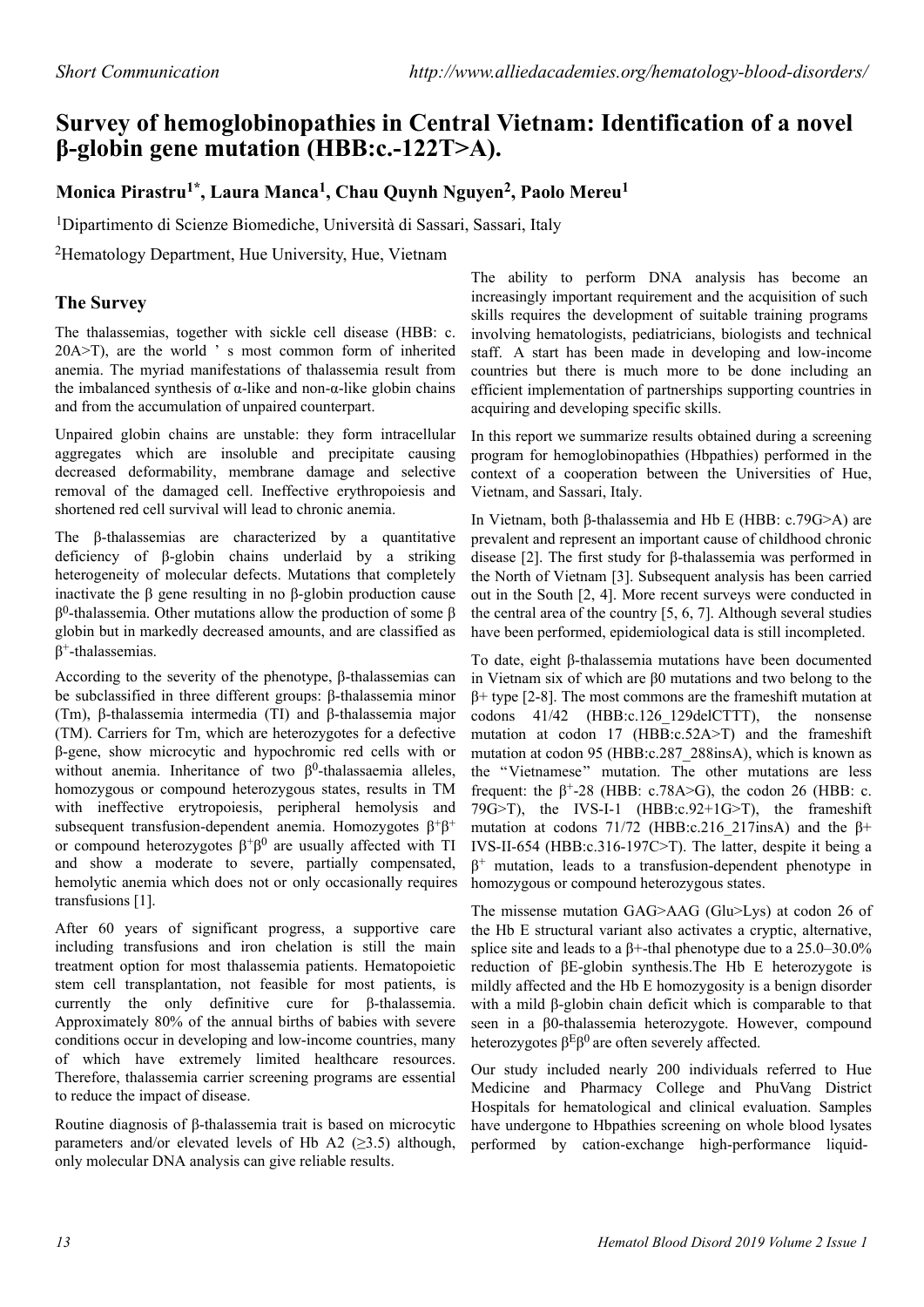# **Survey of hemoglobinopathies in Central Vietnam: Identification of a novel β-globin gene mutation (HBB:c.-122T>A).**

## **Monica Pirastru1\*, Laura Manca<sup>1</sup> , Chau Quynh Nguyen<sup>2</sup> , Paolo Mereu<sup>1</sup>**

<sup>1</sup>Dipartimento di Scienze Biomediche, Università di Sassari, Sassari, Italy

<sup>2</sup>Hematology Department, Hue University, Hue, Vietnam

### **The Survey**

The thalassemias, together with sickle cell disease (HBB: c. 20A>T), are the world ' s most common form of inherited anemia. The myriad manifestations of thalassemia result from the imbalanced synthesis of  $\alpha$ -like and non- $\alpha$ -like globin chains and from the accumulation of unpaired counterpart.

Unpaired globin chains are unstable: they form intracellular aggregates which are insoluble and precipitate causing decreased deformability, membrane damage and selective removal of the damaged cell. Ineffective erythropoiesis and shortened red cell survival will lead to chronic anemia.

The β-thalassemias are characterized by a quantitative deficiency of β-globin chains underlaid by a striking heterogeneity of molecular defects. Mutations that completely inactivate the β gene resulting in no β-globin production cause  $β<sup>0</sup>$ -thalassemia. Other mutations allow the production of some  $β$ globin but in markedly decreased amounts, and are classified as  $\beta^+$ -thalassemias.

According to the severity of the phenotype, β-thalassemias can be subclassified in three different groups: β-thalassemia minor (Tm), β-thalassemia intermedia (TI) and β-thalassemia major (TM). Carriers for Tm, which are heterozygotes for a defective β-gene, show microcytic and hypochromic red cells with or without anemia. Inheritance of two  $\beta^0$ -thalassaemia alleles, homozygous or compound heterozygous states, results in TM with ineffective erytropoiesis, peripheral hemolysis and subsequent transfusion-dependent anemia. Homozygotes  $\beta^+\beta^+$ or compound heterozygotes  $\beta^+\beta^0$  are usually affected with TI and show a moderate to severe, partially compensated, hemolytic anemia which does not or only occasionally requires transfusions [1].

After 60 years of significant progress, a supportive care including transfusions and iron chelation is still the main treatment option for most thalassemia patients. Hematopoietic stem cell transplantation, not feasible for most patients, is currently the only definitive cure for β-thalassemia. Approximately 80% of the annual births of babies with severe conditions occur in developing and low-income countries, many of which have extremely limited healthcare resources. Therefore, thalassemia carrier screening programs are essential to reduce the impact of disease.

Routine diagnosis of β-thalassemia trait is based on microcytic parameters and/or elevated levels of Hb A2 ( $\geq$ 3.5) although, only molecular DNA analysis can give reliable results.

The ability to perform DNA analysis has become an increasingly important requirement and the acquisition of such skills requires the development of suitable training programs involving hematologists, pediatricians, biologists and technical staff. A start has been made in developing and low-income countries but there is much more to be done including an efficient implementation of partnerships supporting countries in acquiring and developing specific skills.

In this report we summarize results obtained during a screening program for hemoglobinopathies (Hbpathies) performed in the context of a cooperation between the Universities of Hue, Vietnam, and Sassari, Italy.

In Vietnam, both β-thalassemia and Hb E (HBB: c.79G>A) are prevalent and represent an important cause of childhood chronic disease [2]. The first study for β-thalassemia was performed in the North of Vietnam [3]. Subsequent analysis has been carried out in the South [2, 4]. More recent surveys were conducted in the central area of the country [5, 6, 7]. Although several studies have been performed, epidemiological data is still incompleted.

To date, eight β-thalassemia mutations have been documented in Vietnam six of which are β0 mutations and two belong to the β+ type [2-8]. The most commons are the frameshift mutation at codons 41/42 (HBB:c.126\_129delCTTT), the nonsense mutation at codon 17 (HBB:c.52A>T) and the frameshift mutation at codon 95 (HBB:c.287\_288insA), which is known as the "Vietnamese" mutation. The other mutations are less frequent: the  $\beta^+$ -28 (HBB: c.78A>G), the codon 26 (HBB: c. 79 $G$ >T), the IVS-I-1 (HBB:c.92+1 $G$ >T), the frameshift mutation at codons  $71/72$  (HBB:c.216 217insA) and the  $\beta$ + IVS-II-654 (HBB:c.316-197C>T). The latter, despite it being a  $\beta^+$  mutation, leads to a transfusion-dependent phenotype in homozygous or compound heterozygous states.

The missense mutation GAG>AAG (Glu>Lys) at codon 26 of the Hb E structural variant also activates a cryptic, alternative, splice site and leads to a β+-thal phenotype due to a 25.0–30.0% reduction of βE-globin synthesis.The Hb E heterozygote is mildly affected and the Hb E homozygosity is a benign disorder with a mild β-globin chain deficit which is comparable to that seen in a β0-thalassemia heterozygote. However, compound heterozygotes  $\beta$ <sup>E</sup> $\beta$ <sup>0</sup> are often severely affected.

Our study included nearly 200 individuals referred to Hue Medicine and Pharmacy College and PhuVang District Hospitals for hematological and clinical evaluation. Samples have undergone to Hbpathies screening on whole blood lysates performed by cation-exchange high-performance liquid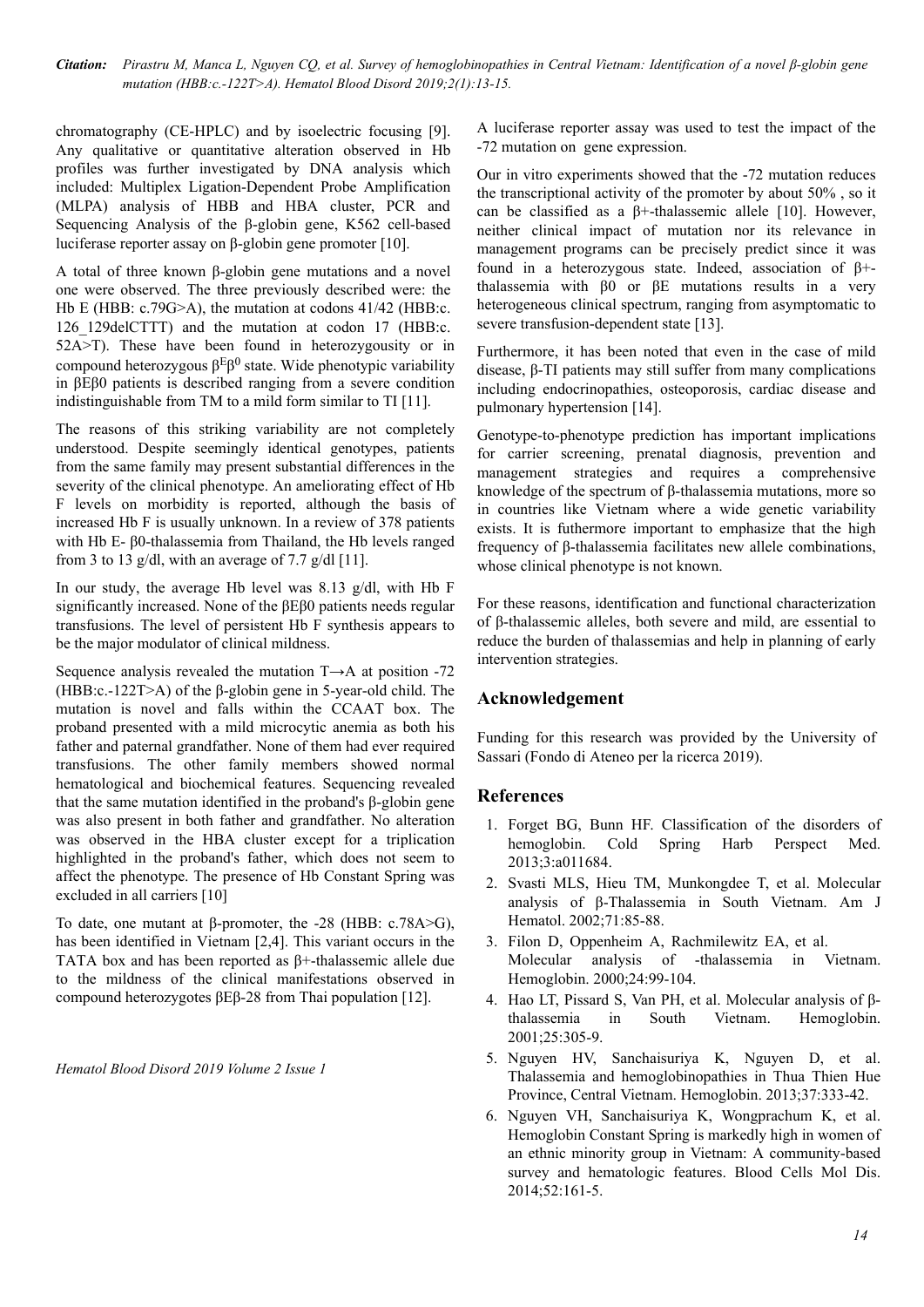*Citation: Pirastru M, Manca L, Nguyen CQ, et al. Survey of hemoglobinopathies in Central Vietnam: Identification of a novel β-globin gene mutation (HBB:c.-122T>A). Hematol Blood Disord 2019;2(1):13-15.*

chromatography (CE-HPLC) and by isoelectric focusing [9]. Any qualitative or quantitative alteration observed in Hb profiles was further investigated by DNA analysis which included: Multiplex Ligation-Dependent Probe Amplification (MLPA) analysis of HBB and HBA cluster, PCR and Sequencing Analysis of the β-globin gene, K562 cell-based luciferase reporter assay on β-globin gene promoter [10].

A total of three known β-globin gene mutations and a novel one were observed. The three previously described were: the Hb E (HBB: c.79G>A), the mutation at codons 41/42 (HBB:c. 126\_129delCTTT) and the mutation at codon 17 (HBB:c. 52A>T). These have been found in heterozygousity or in compound heterozygous  $\beta$ <sup>E</sup> $\beta$ <sup>0</sup> state. Wide phenotypic variability in βEβ0 patients is described ranging from a severe condition indistinguishable from TM to a mild form similar to TI [11].

The reasons of this striking variability are not completely understood. Despite seemingly identical genotypes, patients from the same family may present substantial differences in the severity of the clinical phenotype. An ameliorating effect of Hb F levels on morbidity is reported, although the basis of increased Hb F is usually unknown. In a review of 378 patients with Hb E- β0-thalassemia from Thailand, the Hb levels ranged from 3 to 13 g/dl, with an average of 7.7 g/dl [11].

In our study, the average Hb level was 8.13 g/dl, with Hb F significantly increased. None of the βEβ0 patients needs regular transfusions. The level of persistent Hb F synthesis appears to be the major modulator of clinical mildness.

Sequence analysis revealed the mutation T→A at position -72 (HBB:c.-122T>A) of the β-globin gene in 5-year-old child. The mutation is novel and falls within the CCAAT box. The proband presented with a mild microcytic anemia as both his father and paternal grandfather. None of them had ever required transfusions. The other family members showed normal hematological and biochemical features. Sequencing revealed that the same mutation identified in the proband's β-globin gene was also present in both father and grandfather. No alteration was observed in the HBA cluster except for a triplication highlighted in the proband's father, which does not seem to affect the phenotype. The presence of Hb Constant Spring was excluded in all carriers [10]

To date, one mutant at β-promoter, the -28 (HBB: c.78A>G), has been identified in Vietnam [2,4]. This variant occurs in the TATA box and has been reported as β+-thalassemic allele due to the mildness of the clinical manifestations observed in compound heterozygotes βEβ-28 from Thai population [12].

*Hematol Blood Disord 2019 Volume 2 Issue 1*

A luciferase reporter assay was used to test the impact of the -72 mutation on gene expression.

Our in vitro experiments showed that the -72 mutation reduces the transcriptional activity of the promoter by about 50% , so it can be classified as a β+-thalassemic allele [10]. However, neither clinical impact of mutation nor its relevance in management programs can be precisely predict since it was found in a heterozygous state. Indeed, association of β+ thalassemia with β0 or βE mutations results in a very heterogeneous clinical spectrum, ranging from asymptomatic to severe transfusion-dependent state [13].

Furthermore, it has been noted that even in the case of mild disease, β-TI patients may still suffer from many complications including endocrinopathies, osteoporosis, cardiac disease and pulmonary hypertension [14].

Genotype-to-phenotype prediction has important implications for carrier screening, prenatal diagnosis, prevention and management strategies and requires a comprehensive knowledge of the spectrum of β-thalassemia mutations, more so in countries like Vietnam where a wide genetic variability exists. It is futhermore important to emphasize that the high frequency of β-thalassemia facilitates new allele combinations, whose clinical phenotype is not known.

For these reasons, identification and functional characterization of β-thalassemic alleles, both severe and mild, are essential to reduce the burden of thalassemias and help in planning of early intervention strategies.

#### **Acknowledgement**

Funding for this research was provided by the University of Sassari (Fondo di Ateneo per la ricerca 2019).

#### **References**

- 1. Forget BG, Bunn HF. Classification of the disorders of hemoglobin. Cold Spring Harb Perspect Med. 2013;3:a011684.
- 2. Svasti MLS, Hieu TM, Munkongdee T, et al. Molecular analysis of β-Thalassemia in South Vietnam. Am J Hematol. 2002;71:85-88.
- 3. Filon D, Oppenheim A, Rachmilewitz EA, et al. Molecular analysis of -thalassemia in Vietnam. Hemoglobin. 2000;24:99-104.
- 4. Hao LT, Pissard S, Van PH, et al. Molecular analysis of βthalassemia in South Vietnam. Hemoglobin. 2001;25:305-9.
- 5. Nguyen HV, Sanchaisuriya K, Nguyen D, et al. Thalassemia and hemoglobinopathies in Thua Thien Hue Province, Central Vietnam. Hemoglobin. 2013;37:333-42.
- 6. Nguyen VH, Sanchaisuriya K, Wongprachum K, et al. Hemoglobin Constant Spring is markedly high in women of an ethnic minority group in Vietnam: A community-based survey and hematologic features. Blood Cells Mol Dis. 2014;52:161-5.